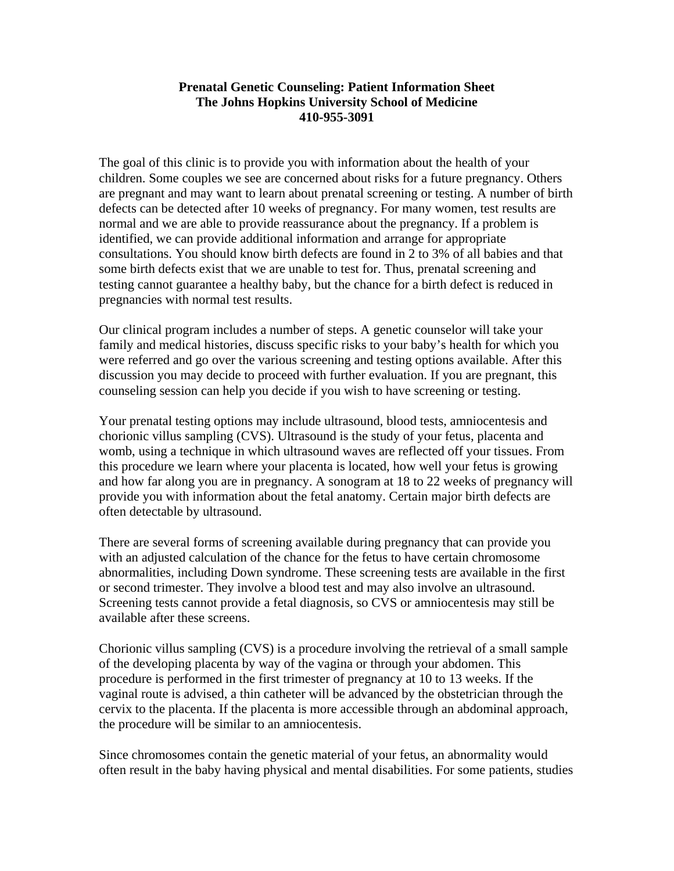## **Prenatal Genetic Counseling: Patient Information Sheet The Johns Hopkins University School of Medicine 410-955-3091**

The goal of this clinic is to provide you with information about the health of your children. Some couples we see are concerned about risks for a future pregnancy. Others are pregnant and may want to learn about prenatal screening or testing. A number of birth defects can be detected after 10 weeks of pregnancy. For many women, test results are normal and we are able to provide reassurance about the pregnancy. If a problem is identified, we can provide additional information and arrange for appropriate consultations. You should know birth defects are found in 2 to 3% of all babies and that some birth defects exist that we are unable to test for. Thus, prenatal screening and testing cannot guarantee a healthy baby, but the chance for a birth defect is reduced in pregnancies with normal test results.

Our clinical program includes a number of steps. A genetic counselor will take your family and medical histories, discuss specific risks to your baby's health for which you were referred and go over the various screening and testing options available. After this discussion you may decide to proceed with further evaluation. If you are pregnant, this counseling session can help you decide if you wish to have screening or testing.

Your prenatal testing options may include ultrasound, blood tests, amniocentesis and chorionic villus sampling (CVS). Ultrasound is the study of your fetus, placenta and womb, using a technique in which ultrasound waves are reflected off your tissues. From this procedure we learn where your placenta is located, how well your fetus is growing and how far along you are in pregnancy. A sonogram at 18 to 22 weeks of pregnancy will provide you with information about the fetal anatomy. Certain major birth defects are often detectable by ultrasound.

There are several forms of screening available during pregnancy that can provide you with an adjusted calculation of the chance for the fetus to have certain chromosome abnormalities, including Down syndrome. These screening tests are available in the first or second trimester. They involve a blood test and may also involve an ultrasound. Screening tests cannot provide a fetal diagnosis, so CVS or amniocentesis may still be available after these screens.

Chorionic villus sampling (CVS) is a procedure involving the retrieval of a small sample of the developing placenta by way of the vagina or through your abdomen. This procedure is performed in the first trimester of pregnancy at 10 to 13 weeks. If the vaginal route is advised, a thin catheter will be advanced by the obstetrician through the cervix to the placenta. If the placenta is more accessible through an abdominal approach, the procedure will be similar to an amniocentesis.

Since chromosomes contain the genetic material of your fetus, an abnormality would often result in the baby having physical and mental disabilities. For some patients, studies